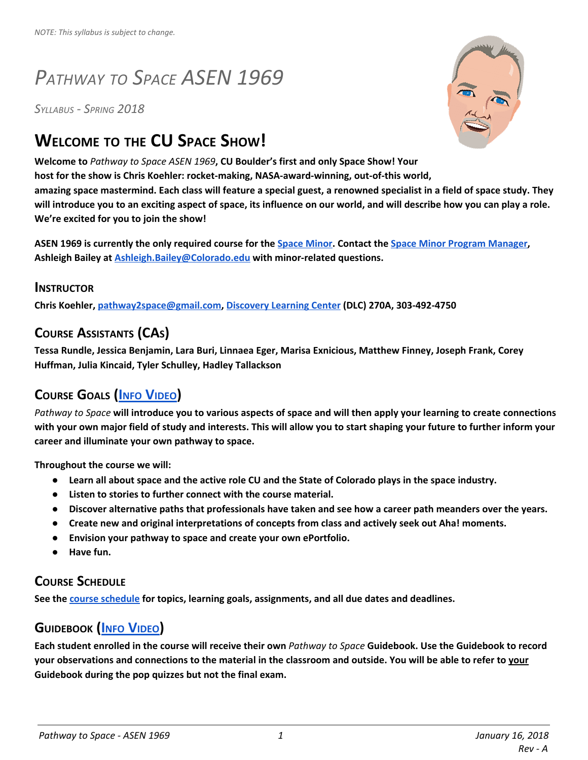# *PATHWAY TO SPACE ASEN 1969*

*SYLLABUS - SPRING 2018*

## **WELCOME TO THE CU SPACE SHOW!**

**Welcome to** *Pathway to Space ASEN 1969***, CU Boulder's first and only Space Show! Your host for the show is Chris Koehler: rocket-making, NASA-award-winning, out-of-this world,** amazing space mastermind. Each class will feature a special guest, a renowned specialist in a field of space study. They will introduce you to an exciting aspect of space, its influence on our world, and will describe how you can play a role. **We're excited for you to join the show!**

ASEN 1969 is currently the only required course for the Space [Minor](http://www.colorado.edu/spaceminor/). Contact the Space Minor Program [Manager,](http://www.colorado.edu/spaceminor/people) **Ashleigh Bailey at [Ashleigh.Bailey@Colorado.edu](mailto:ashleigh.bailey@Colorado.EDU) with minor-related questions.**

#### **INSTRUCTOR**

**Chris Koehler, [pathway2space@gmail.com](mailto:pathway2space@gmail.com), [Discovery](https://www.colorado.edu/map/?id=336&mrkIid=193839) Learning Center (DLC) 270A, 303-492-4750**

## **COURSE ASSISTANTS (CAS)**

**Tessa Rundle, Jessica Benjamin, Lara Buri, Linnaea Eger, Marisa Exnicious, Matthew Finney, Joseph Frank, Corey Huffman, Julia Kincaid, Tyler Schulley, Hadley Tallackson**

## **C[OURSE](https://youtu.be/y5rSU-NaShc) GOALS (INFO V[IDEO](https://youtu.be/y5rSU-NaShc))**

Pathway to Space will introduce you to various aspects of space and will then apply your learning to create connections with your own major field of study and interests. This will allow you to start shaping your future to further inform your **career and illuminate your own pathway to space.**

**Throughout the course we will:**

- Learn all about space and the active role CU and the State of Colorado plays in the space industry.
- **Listen to stories to further connect with the course material.**
- Discover alternative paths that professionals have taken and see how a career path meanders over the years.
- **Create new and original interpretations of concepts from class and actively seek out Aha! moments.**
- **Envision your pathway to space and create your own ePortfolio.**
- **Have fun.**

#### **COURSE SCHEDULE**

**See the course [schedule](https://docs.google.com/document/d/130FnFRmVoHnk6_aadj0JpwI9SjtVHB-oyRrAtLkHkFY/edit?usp=sharing) for topics, learning goals, assignments, and all due dates and deadlines.**

#### **G[UIDEBOOK](https://youtu.be/fFgCmiCixwU) (INFO V[IDEO](https://youtu.be/fFgCmiCixwU)[\)](https://youtu.be/fFgCmiCixwU)**

Each student enrolled in the course will receive their own Pathway to Space Guidebook. Use the Guidebook to record your observations and connections to the material in the classroom and outside. You will be able to refer to your **Guidebook during the pop quizzes but not the final exam.**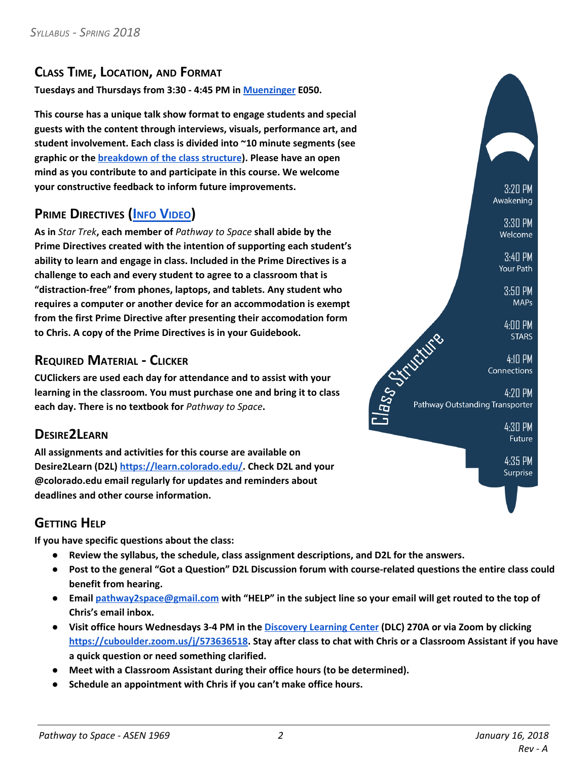#### **CLASS TIME, LOCATION, AND FORMAT**

**Tuesdays and Thursdays from 3:30 - 4:45 PM in [Muenzinger](https://www.colorado.edu/map/?id=336&mrkIid=226112) E050.**

**This course has a unique talk show format to engage students and special guests with the content through interviews, visuals, performance art, and student involvement. Each class is divided into ~10 minute segments (see graphic or the [breakdown](https://www.colorado.edu/pathwaytospace/class-structure) of the class structure). Please have an open mind as you contribute to and participate in this course. We welcome your constructive feedback to inform future improvements.**

## **PRIME D[IRECTIVES](https://youtu.be/bu-cOGzwtQA) (INFO V[IDEO](https://youtu.be/bu-cOGzwtQA))**

**As in** *Star Trek***, each member of** *Pathway to Space* **shall abide by the Prime Directives created with the intention of supporting each student's ability to learn and engage in class. Included in the Prime Directives is a challenge to each and every student to agree to a classroom that is "distraction-free" from phones, laptops, and tablets. Any student who requires a computer or another device for an accommodation is exempt from the first Prime Directive after presenting their accomodation form to Chris. A copy of the Prime Directives is in your Guidebook.**

#### **REQUIRED MATERIAL - CLICKER**

**CUClickers are used each day for attendance and to assist with your learning in the classroom. You must purchase one and bring it to class each day. There is no textbook for** *Pathway to Space***.**

#### **DESIRE2LEARN**

**All assignments and activities for this course are available on Desire2Learn (D2L) [https://learn.colorado.edu/.](https://learn.colorado.edu/) Check D2L and your @colorado.edu email regularly for updates and reminders about deadlines and other course information.**

#### **GETTING HELP**

**If you have specific questions about the class:**

- **Review the syllabus, the schedule, class assignment descriptions, and D2L for the answers.**
- Post to the general "Got a Question" D2L Discussion forum with course-related questions the entire class could **benefit from hearing.**
- Email [pathway2space@gmail.com](mailto:pathway2space@gmail.com) with "HELP" in the subject line so your email will get routed to the top of **Chris's email inbox.**
- Visit office hours Wednesdays 3-4 PM in the [Discovery](https://www.colorado.edu/map/?id=336&mrkIid=193839) Learning Center (DLC) 270A or via Zoom by clicking **<https://cuboulder.zoom.us/j/573636518>. Stay after class to chat with Chris or a Classroom Assistant if you have a quick question or need something clarified.**
- **Meet with a Classroom Assistant during their office hours (to be determined).**
- **Schedule an appointment with Chris if you can't make office hours.**

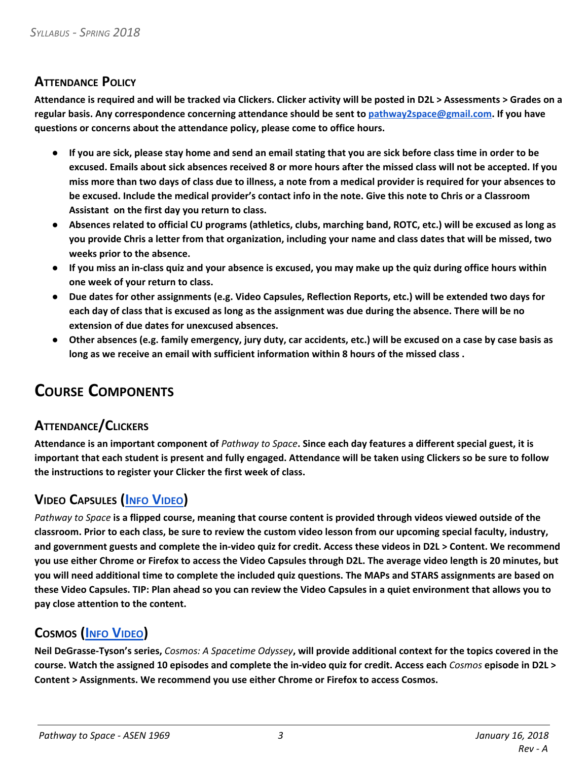#### **ATTENDANCE POLICY**

Attendance is required and will be tracked via Clickers. Clicker activity will be posted in D2L > Assessments > Grades on a **regular basis. Any correspondence concerning attendance should be sent to [pathway2space@gmail.com](mailto:pathway2space@gmail.com). If you have questions or concerns about the attendance policy, please come to office hours.**

- If you are sick, please stay home and send an email stating that you are sick before class time in order to be excused. Emails about sick absences received 8 or more hours after the missed class will not be accepted. If you miss more than two days of class due to illness, a note from a medical provider is required for your absences to be excused. Include the medical provider's contact info in the note. Give this note to Chris or a Classroom **Assistant on the first day you return to class.**
- Absences related to official CU programs (athletics, clubs, marching band, ROTC, etc.) will be excused as long as you provide Chris a letter from that organization, including your name and class dates that will be missed, two **weeks prior to the absence.**
- If you miss an in-class quiz and your absence is excused, you may make up the quiz during office hours within **one week of your return to class.**
- Due dates for other assignments (e.g. Video Capsules, Reflection Reports, etc.) will be extended two days for each day of class that is excused as long as the assignment was due during the absence. There will be no **extension of due dates for unexcused absences.**
- Other absences (e.g. family emergency, jury duty, car accidents, etc.) will be excused on a case by case basis as **long as we receive an email with sufficient information within 8 hours of the missed class .**

## **COURSE COMPONENTS**

## **ATTENDANCE/CLICKERS**

Attendance is an important component of Pathway to Space. Since each day features a different special guest, it is important that each student is present and fully engaged. Attendance will be taken using Clickers so be sure to follow **the instructions to register your Clicker the first week of class.**

## **VIDEO C[APSULES](https://youtu.be/s2IKcNond7I) (INFO V[IDEO](https://youtu.be/s2IKcNond7I))**

Pathway to Space is a flipped course, meaning that course content is provided through videos viewed outside of the classroom. Prior to each class, be sure to review the custom video lesson from our upcoming special faculty, industry, and government guests and complete the in-video quiz for credit. Access these videos in D2L > Content. We recommend you use either Chrome or Firefox to access the Video Capsules through D2L. The average video length is 20 minutes, but you will need additional time to complete the included quiz questions. The MAPs and STARS assignments are based on these Video Capsules. TIP: Plan ahead so you can review the Video Capsules in a quiet environment that allows you to **pay close attention to the content.**

## **C[OSMOS](https://youtu.be/hONU5_VJpHA) (INFO V[IDEO](https://youtu.be/hONU5_VJpHA))**

Neil DeGrasse-Tyson's series, Cosmos: A Spacetime Odyssey, will provide additional context for the topics covered in the course. Watch the assigned 10 episodes and complete the in-video quiz for credit. Access each Cosmos episode in D2L > **Content > Assignments. We recommend you use either Chrome or Firefox to access Cosmos.**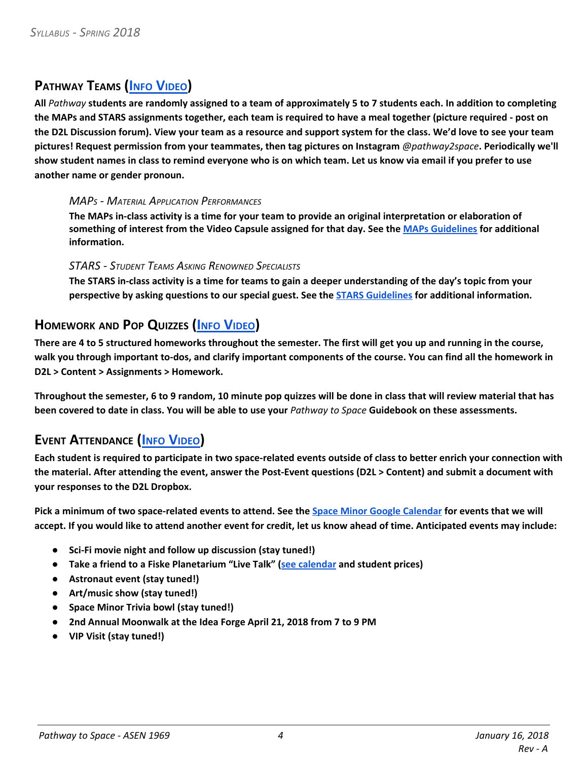## **P[ATHWAY](https://youtu.be/GfK2-HzN_YY) TEAMS (INFO V[IDEO](https://youtu.be/GfK2-HzN_YY))**

All Pathway students are randomly assigned to a team of approximately 5 to 7 students each. In addition to completing the MAPs and STARS assignments together, each team is required to have a meal together (picture required - post on the D2L Discussion forum). View your team as a resource and support system for the class. We'd love to see your team **pictures! Request permission from your teammates, then tag pictures on Instagram** *@pathway2space***. Periodically we'll** show student names in class to remind everyone who is on which team. Let us know via email if you prefer to use **another name or gender pronoun.**

#### *MAP<sup>S</sup> - MATERIAL APPLICATION PERFORMANCES*

The MAPs in-class activity is a time for your team to provide an original interpretation or elaboration of something of interest from the Video Capsule assigned for that day. See the MAPs [Guidelines](https://docs.google.com/document/d/1jW_QiO8c4_rWBGOKs3x5EZ-RGqVtRW6NX4M3J93HGBA/edit?usp=sharing) for additional **information.**

#### *STARS - STUDENT TEAMS ASKING RENOWNED SPECIALISTS*

The STARS in-class activity is a time for teams to gain a deeper understanding of the day's topic from your **perspective by asking questions to our special guest. See the STARS [Guidelines](https://docs.google.com/document/d/1WFRmHm2a_tpEzXbnQLZt5wCtLLsHvVl_XwDDH1E-6g8/edit?usp=sharing) for additional information.**

#### **H[OMEWORK](https://youtu.be/80Jv2VMRomI) AND POP QUIZZES (INFO V[IDEO](https://youtu.be/80Jv2VMRomI))**

There are 4 to 5 structured homeworks throughout the semester. The first will get you up and running in the course, walk you through important to-dos, and clarify important components of the course. You can find all the homework in **D2L > Content > Assignments > Homework.**

Throughout the semester, 6 to 9 random, 10 minute pop quizzes will be done in class that will review material that has been covered to date in class. You will be able to use your Pathway to Space Guidebook on these assessments.

## **EVENT A[TTENDANCE](https://youtu.be/CIU_xzfMrr4) (INFO V[IDEO](https://youtu.be/CIU_xzfMrr4)[\)](https://youtu.be/CIU_xzfMrr4)**

Each student is required to participate in two space-related events outside of class to better enrich your connection with the material. After attending the event, answer the Post-Event questions (D2L > Content) and submit a document with **your responses to the D2L Dropbox.**

Pick a minimum of two space-related events to attend. See the Space Minor Google [Calendar](https://calendar.google.com/calendar/b/2?cid=ZzY0NWphYnVoNHZhOXNiOXNjOGxiY3NwdjhAZ3JvdXAuY2FsZW5kYXIuZ29vZ2xlLmNvbQ) for events that we will accept. If you would like to attend another event for credit, let us know ahead of time. Anticipated events may include:

- **Sci-Fi movie night and follow up discussion (stay tuned!)**
- **Take a friend to a Fiske Planetarium "Live Talk" (see [calendar](http://www.colorado.edu/fiske/showsevents/live-talks) and student prices)**
- **Astronaut event (stay tuned!)**
- **Art/music show (stay tuned!)**
- **Space Minor Trivia bowl (stay tuned!)**
- **2nd Annual Moonwalk at the Idea Forge April 21, 2018 from 7 to 9 PM**
- **VIP Visit (stay tuned!)**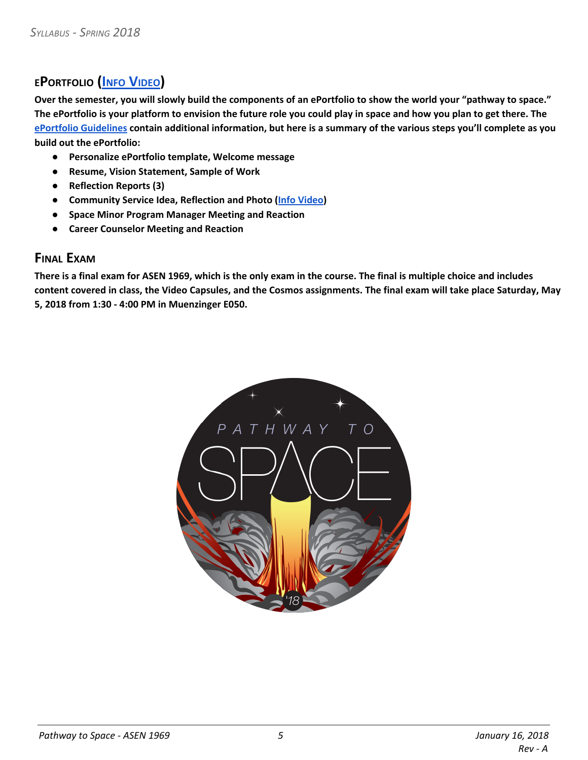## **EP[ORTFOLIO](https://youtu.be/vZpKvYC7dHc) (INFO V[IDEO](https://youtu.be/vZpKvYC7dHc)[\)](https://youtu.be/vZpKvYC7dHc)**

Over the semester, you will slowly build the components of an ePortfolio to show the world your "pathway to space." The ePortfolio is your platform to envision the future role you could play in space and how you plan to get there. The ePortfolio [Guidelines](https://docs.google.com/document/d/1ZjbS7uMV5arPZ-oQLoiFtz65EjpD26USrGhj_IGOoiA/edit?usp=sharing) contain additional information, but here is a summary of the various steps you'll complete as you **build out the ePortfolio:**

- **Personalize ePortfolio template, Welcome message**
- **Resume, Vision Statement, Sample of Work**
- **Reflection Reports (3)**
- **Community Service Idea, Reflection and Photo (Info [Video\)](https://youtu.be/n_iHlVg25c0)**
- **Space Minor Program Manager Meeting and Reaction**
- **Career Counselor Meeting and Reaction**

#### **FINAL EXAM**

There is a final exam for ASEN 1969, which is the only exam in the course. The final is multiple choice and includes content covered in class, the Video Capsules, and the Cosmos assignments. The final exam will take place Saturday, May **5, 2018 from 1:30 - 4:00 PM in Muenzinger E050.**

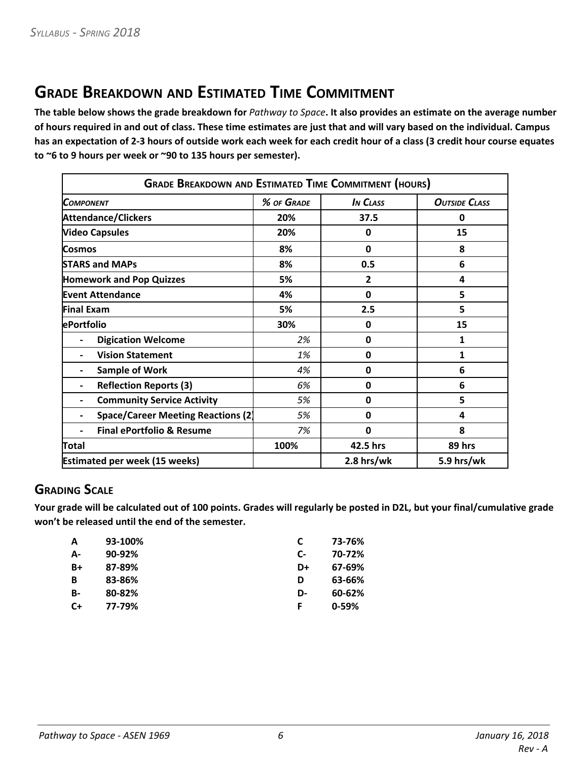## **GRADE BREAKDOWN AND ESTIMATED TIME COMMITMENT**

The table below shows the grade breakdown for Pathway to Space. It also provides an estimate on the average number of hours required in and out of class. These time estimates are just that and will vary based on the individual. Campus has an expectation of 2-3 hours of outside work each week for each credit hour of a class (3 credit hour course equates **to ~6 to 9 hours per week or ~90 to 135 hours per semester).**

| <b>GRADE BREAKDOWN AND ESTIMATED TIME COMMITMENT (HOURS)</b> |            |                 |                      |  |
|--------------------------------------------------------------|------------|-----------------|----------------------|--|
| Сомромемт                                                    | % OF GRADE | <b>IN CLASS</b> | <b>OUTSIDE CLASS</b> |  |
| <b>Attendance/Clickers</b>                                   | 20%        | 37.5            | 0                    |  |
| <b>Video Capsules</b>                                        | 20%        | $\mathbf 0$     | 15                   |  |
| Cosmos                                                       | 8%         | $\mathbf 0$     | 8                    |  |
| <b>STARS and MAPs</b>                                        | 8%         | 0.5             | 6                    |  |
| <b>Homework and Pop Quizzes</b>                              | 5%         | 2               | 4                    |  |
| <b>Event Attendance</b>                                      | 4%         | 0               | 5                    |  |
| <b>Final Exam</b>                                            | 5%         | 2.5             | 5                    |  |
| ePortfolio                                                   | 30%        | 0               | 15                   |  |
| <b>Digication Welcome</b><br>$\blacksquare$                  | 2%         | 0               | 1                    |  |
| <b>Vision Statement</b>                                      | 1%         | 0               | 1                    |  |
| <b>Sample of Work</b>                                        | 4%         | 0               | 6                    |  |
| <b>Reflection Reports (3)</b>                                | 6%         | 0               | 6                    |  |
| <b>Community Service Activity</b>                            | 5%         | 0               | 5                    |  |
| <b>Space/Career Meeting Reactions (2)</b>                    | 5%         | 0               | 4                    |  |
| <b>Final ePortfolio &amp; Resume</b>                         | 7%         | 0               | 8                    |  |
| Total                                                        | 100%       | 42.5 hrs        | 89 hrs               |  |
| <b>Estimated per week (15 weeks)</b>                         |            | $2.8$ hrs/wk    | 5.9 hrs/wk           |  |

## **GRADING SCALE**

Your grade will be calculated out of 100 points. Grades will regularly be posted in D2L, but your final/cumulative grade **won't be released until the end of the semester.**

|    | 73-76%    |
|----|-----------|
| C- | 70-72%    |
| D+ | 67-69%    |
| D  | 63-66%    |
| D- | 60-62%    |
|    | $0 - 59%$ |
|    |           |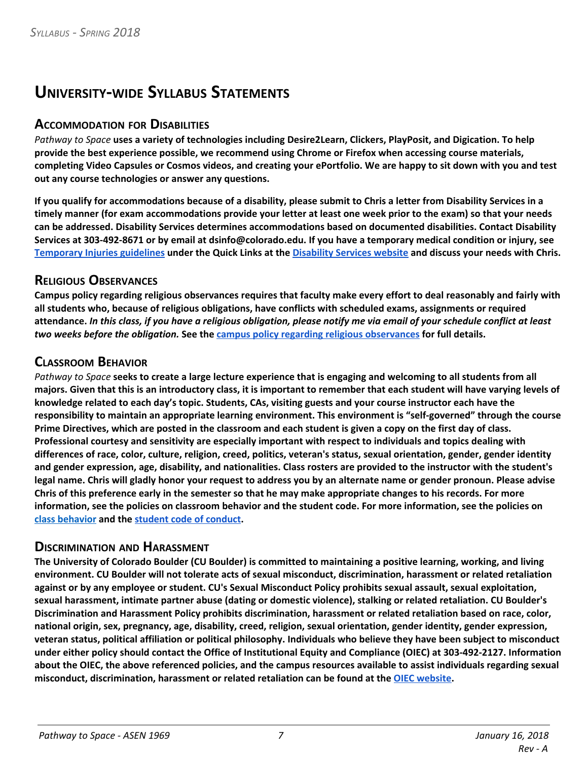## **UNIVERSITY-WIDE SYLLABUS STATEMENTS**

#### **ACCOMMODATION FOR DISABILITIES**

Pathway to Space uses a variety of technologies including Desire2Learn, Clickers, PlayPosit, and Digication. To help **provide the best experience possible, we recommend using Chrome or Firefox when accessing course materials,** completing Video Capsules or Cosmos videos, and creating your ePortfolio. We are happy to sit down with you and test **out any course technologies or answer any questions.**

If you qualify for accommodations because of a disability, please submit to Chris a letter from Disability Services in a timely manner (for exam accommodations provide your letter at least one week prior to the exam) so that your needs **can be addressed. Disability Services determines accommodations based on documented disabilities. Contact Disability** Services at 303-492-8671 or by email at dsinfo@colorado.edu. If you have a temporary medical condition or injury, see [Temporary](http://www.colorado.edu/disabilityservices/students/temporary-medical-conditions) Injuries guidelines under the Quick Links at the [Disability](http://www.colorado.edu/disabilityservices/) Services website and discuss your needs with Chris.

#### **RELIGIOUS OBSERVANCES**

Campus policy regarding religious observances requires that faculty make every effort to deal reasonably and fairly with **all students who, because of religious obligations, have conflicts with scheduled exams, assignments or required** attendance. In this class, if you have a religious obligation, please notify me via email of your schedule conflict at least *two weeks before the obligation.* **See the campus policy regarding religious [observances](http://www.colorado.edu/policies/observance-religious-holidays-and-absences-classes-andor-exams) for full details.**

#### **CLASSROOM BEHAVIOR**

Pathway to Space seeks to create a large lecture experience that is engaging and welcoming to all students from all majors. Given that this is an introductory class, it is important to remember that each student will have varying levels of knowledge related to each day's topic. Students, CAs, visiting guests and your course instructor each have the **responsibility to maintain an appropriate learning environment. This environment is "self-governed" through the course** Prime Directives, which are posted in the classroom and each student is given a copy on the first day of class. **Professional courtesy and sensitivity are especially important with respect to individuals and topics dealing with** differences of race, color, culture, religion, creed, politics, veteran's status, sexual orientation, gender, gender identity and gender expression, age, disability, and nationalities. Class rosters are provided to the instructor with the student's legal name. Chris will gladly honor your request to address you by an alternate name or gender pronoun. Please advise Chris of this preference early in the semester so that he may make appropriate changes to his records. For more information, see the policies on classroom behavior and the student code. For more information, see the policies on **class [behavior](http://www.colorado.edu/policies/student-classroom-and-course-related-behavior) and the student code of [conduct](https://www.colorado.edu/osccr/students).**

#### **DISCRIMINATION AND HARASSMENT**

The University of Colorado Boulder (CU Boulder) is committed to maintaining a positive learning, working, and living **environment. CU Boulder will not tolerate acts of sexual misconduct, discrimination, harassment or related retaliation** against or by any employee or student. CU's Sexual Misconduct Policy prohibits sexual assault, sexual exploitation, **sexual harassment, intimate partner abuse (dating or domestic violence), stalking or related retaliation. CU Boulder's Discrimination and Harassment Policy prohibits discrimination, harassment or related retaliation based on race, color, national origin, sex, pregnancy, age, disability, creed, religion, sexual orientation, gender identity, gender expression,** veteran status, political affiliation or political philosophy. Individuals who believe they have been subject to misconduct under either policy should contact the Office of Institutional Equity and Compliance (OIEC) at 303-492-2127. Information about the OIEC, the above referenced policies, and the campus resources available to assist individuals regarding sexual **misconduct, discrimination, harassment or related retaliation can be found at the OIEC [website](http://www.colorado.edu/institutionalequity/).**